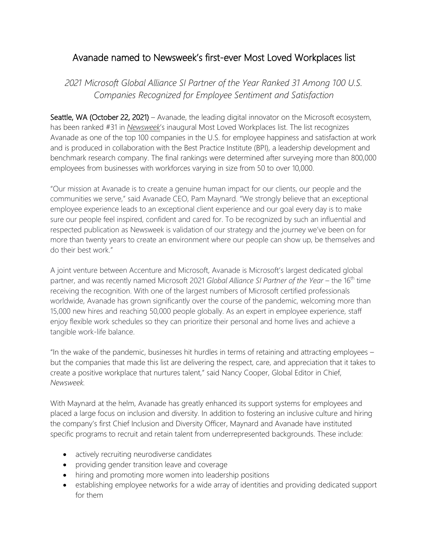# Avanade named to Newsweek's first-ever Most Loved Workplaces list

*2021 Microsoft Global Alliance SI Partner of the Year Ranked 31 Among 100 U.S. Companies Recognized for Employee Sentiment and Satisfaction*

Seattle, WA (October 22, 2021) – Avanade, the leading digital innovator on the Microsoft ecosystem, has been ranked #31 in *[Newsweek](http://www.newsweek.com/)*'s inaugural Most Loved Workplaces list. The list recognizes Avanade as one of the top 100 companies in the U.S. for employee happiness and satisfaction at work and is produced in collaboration with the Best Practice Institute (BPI), a leadership development and benchmark research company. The final rankings were determined after surveying more than 800,000 employees from businesses with workforces varying in size from 50 to over 10,000.

"Our mission at Avanade is to create a genuine human impact for our clients, our people and the communities we serve," said Avanade CEO, Pam Maynard. "We strongly believe that an exceptional employee experience leads to an exceptional client experience and our goal every day is to make sure our people feel inspired, confident and cared for. To be recognized by such an influential and respected publication as Newsweek is validation of our strategy and the journey we've been on for more than twenty years to create an environment where our people can show up, be themselves and do their best work."

A joint venture between Accenture and Microsoft, Avanade is Microsoft's largest dedicated global partner, and was recently named Microsoft 2021 *Global Alliance SI Partner of the Year* – the 16th time receiving the recognition. With one of the largest numbers of Microsoft certified professionals worldwide, Avanade has grown significantly over the course of the pandemic, welcoming more than 15,000 new hires and reaching 50,000 people globally. As an expert in employee experience, staff enjoy flexible work schedules so they can prioritize their personal and home lives and achieve a tangible work-life balance.

"In the wake of the pandemic, businesses hit hurdles in terms of retaining and attracting employees – but the companies that made this list are delivering the respect, care, and appreciation that it takes to create a positive workplace that nurtures talent," said Nancy Cooper, Global Editor in Chief, *Newsweek.*

With Maynard at the helm, Avanade has greatly enhanced its support systems for employees and placed a large focus on inclusion and diversity. In addition to fostering an inclusive culture and hiring the company's first Chief Inclusion and Diversity Officer, Maynard and Avanade have instituted specific programs to recruit and retain talent from underrepresented backgrounds. These include:

- actively recruiting neurodiverse candidates
- providing gender transition leave and coverage
- hiring and promoting more women into leadership positions
- establishing employee networks for a wide array of identities and providing dedicated support for them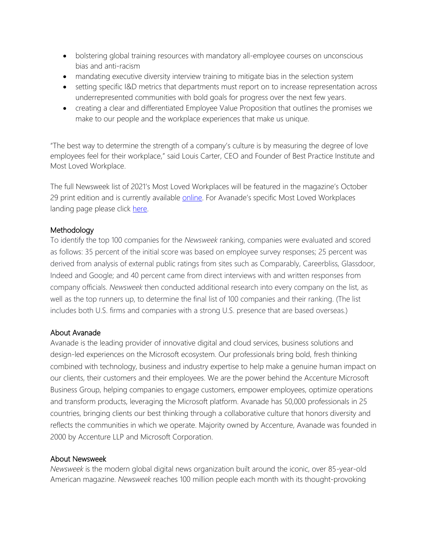- bolstering global training resources with mandatory all-employee courses on unconscious bias and anti-racism
- mandating executive diversity interview training to mitigate bias in the selection system
- setting specific I&D metrics that departments must report on to increase representation across underrepresented communities with bold goals for progress over the next few years.
- creating a clear and differentiated Employee Value Proposition that outlines the promises we make to our people and the workplace experiences that make us unique.

"The best way to determine the strength of a company's culture is by measuring the degree of love employees feel for their workplace," said Louis Carter, CEO and Founder of Best Practice Institute and Most Loved Workplace.

The full Newsweek list of 2021's Most Loved Workplaces will be featured in the magazine's October 29 print edition and is currently available [online.](https://www.newsweek.com/americas-most-loved-workplaces-2021) For Avanade's specific Most Loved Workplaces landing page please click [here.](https://mostlovedworkplace.com/companies/avanade/)

## Methodology

To identify the top 100 companies for the *Newsweek* ranking, companies were evaluated and scored as follows: 35 percent of the initial score was based on employee survey responses; 25 percent was derived from analysis of external public ratings from sites such as Comparably, Careerbliss, Glassdoor, Indeed and Google; and 40 percent came from direct interviews with and written responses from company officials. *Newsweek* then conducted additional research into every company on the list, as well as the top runners up, to determine the final list of 100 companies and their ranking. (The list includes both U.S. firms and companies with a strong U.S. presence that are based overseas.)

### About Avanade

Avanade is the leading provider of innovative digital and cloud services, business solutions and design-led experiences on the Microsoft ecosystem. Our professionals bring bold, fresh thinking combined with technology, business and industry expertise to help make a genuine human impact on our clients, their customers and their employees. We are the power behind the Accenture Microsoft Business Group, helping companies to engage customers, empower employees, optimize operations and transform products, leveraging the Microsoft platform. Avanade has 50,000 professionals in 25 countries, bringing clients our best thinking through a collaborative culture that honors diversity and reflects the communities in which we operate. Majority owned by Accenture, Avanade was founded in 2000 by Accenture LLP and Microsoft Corporation.

### About Newsweek

*Newsweek* is the modern global digital news organization built around the iconic, over 85-year-old American magazine. *Newsweek* reaches 100 million people each month with its thought-provoking